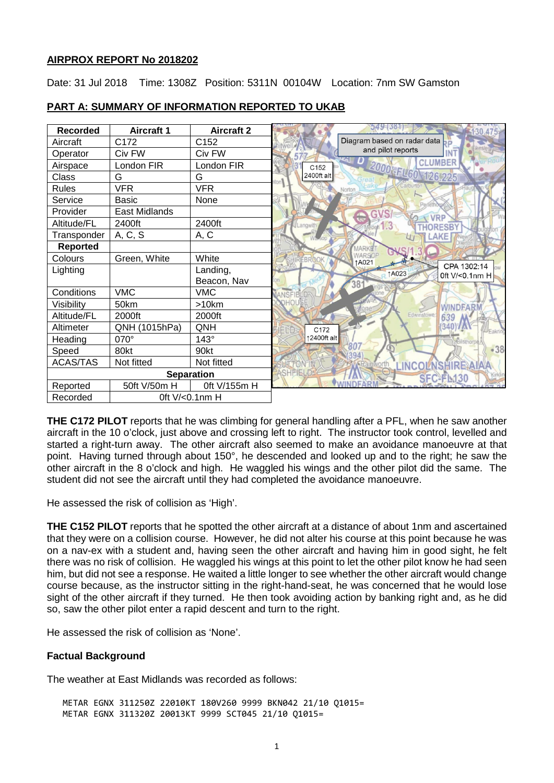## **AIRPROX REPORT No 2018202**

Date: 31 Jul 2018 Time: 1308Z Position: 5311N 00104W Location: 7nm SW Gamston

| <b>Recorded</b>   | <b>Aircraft 1</b> | <b>Aircraft 2</b> |                      | $549 - 381$                                              |
|-------------------|-------------------|-------------------|----------------------|----------------------------------------------------------|
| Aircraft          | C172              | C152              |                      | Diagram based on radar data $\mathsf{L}_\mathsf{D}$      |
| Operator          | Civ FW            | Civ FW            |                      | and pilot reports                                        |
| Airspace          | London FIR        | London FIR        | C <sub>152</sub>     | لاستان 10<br>مار<br><b>CLUMBER</b><br>2000'-FLG0 126,225 |
| Class             | G                 | G                 | 2400ft alt           |                                                          |
| <b>Rules</b>      | <b>VFR</b>        | <b>VFR</b>        |                      |                                                          |
| Service           | <b>Basic</b>      | None              |                      |                                                          |
| Provider          | East Midlands     |                   |                      | GV<br>VRP                                                |
| Altitude/FL       | 2400ft            | 2400ft            | angwit               |                                                          |
| Transponder       | A, C, S           | A, C              |                      |                                                          |
| <b>Reported</b>   |                   |                   |                      | MARKE                                                    |
| Colours           | Green, White      | White             | <b>FBR</b>           | WARSOP<br>↑A021                                          |
| Lighting          |                   | Landing,          |                      | CPA 1302:14<br><b>1A023</b><br>0ft V/<0.1nm H            |
|                   |                   | Beacon, Nav       |                      | 381                                                      |
| Conditions        | <b>VMC</b>        | <b>VMC</b>        | <b>JANSFIFI</b>      |                                                          |
| Visibility        | 50km              | >10km             | <b>JOHOUSE</b>       | <b>WINDFARM</b>                                          |
| Altitude/FL       | 2000ft            | 2000ft            |                      | Edwinstowe<br>639                                        |
| Altimeter         | QNH (1015hPa)     | QNH               | C172<br><b>IFINE</b> | (340)                                                    |
| Heading           | 070°              | $143^\circ$       | ↑2400ft alt          |                                                          |
| Speed             | 80kt              | 90kt              |                      | 807<br>$-38$                                             |
| <b>ACAS/TAS</b>   | Not fitted        | Not fitted        |                      | INCOLNSHIREAIAA<br>Rainworth                             |
| <b>Separation</b> |                   | ASHFIELD          | SFC-FL130            |                                                          |
| Reported          | 50ft V/50m H      | 0ft V/155m H      |                      |                                                          |
| Recorded          | 0ft V/<0.1nm H    |                   |                      |                                                          |

# **PART A: SUMMARY OF INFORMATION REPORTED TO UKAB**

**THE C172 PILOT** reports that he was climbing for general handling after a PFL, when he saw another aircraft in the 10 o'clock, just above and crossing left to right. The instructor took control, levelled and started a right-turn away. The other aircraft also seemed to make an avoidance manoeuvre at that point. Having turned through about 150°, he descended and looked up and to the right; he saw the other aircraft in the 8 o'clock and high. He waggled his wings and the other pilot did the same. The student did not see the aircraft until they had completed the avoidance manoeuvre.

He assessed the risk of collision as 'High'.

**THE C152 PILOT** reports that he spotted the other aircraft at a distance of about 1nm and ascertained that they were on a collision course. However, he did not alter his course at this point because he was on a nav-ex with a student and, having seen the other aircraft and having him in good sight, he felt there was no risk of collision. He waggled his wings at this point to let the other pilot know he had seen him, but did not see a response. He waited a little longer to see whether the other aircraft would change course because, as the instructor sitting in the right-hand-seat, he was concerned that he would lose sight of the other aircraft if they turned. He then took avoiding action by banking right and, as he did so, saw the other pilot enter a rapid descent and turn to the right.

He assessed the risk of collision as 'None'.

# **Factual Background**

The weather at East Midlands was recorded as follows:

METAR EGNX 311250Z 22010KT 180V260 9999 BKN042 21/10 Q1015= METAR EGNX 311320Z 20013KT 9999 SCT045 21/10 Q1015=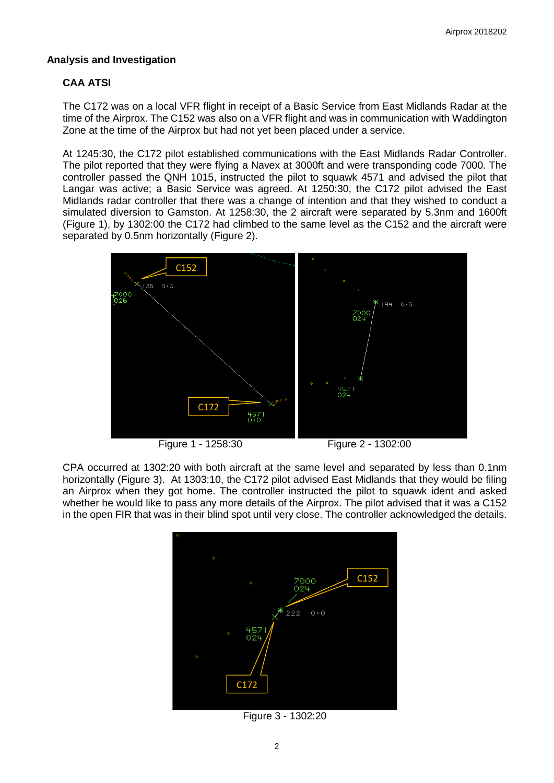# **Analysis and Investigation**

# **CAA ATSI**

The C172 was on a local VFR flight in receipt of a Basic Service from East Midlands Radar at the time of the Airprox. The C152 was also on a VFR flight and was in communication with Waddington Zone at the time of the Airprox but had not yet been placed under a service.

At 1245:30, the C172 pilot established communications with the East Midlands Radar Controller. The pilot reported that they were flying a Navex at 3000ft and were transponding code 7000. The controller passed the QNH 1015, instructed the pilot to squawk 4571 and advised the pilot that Langar was active; a Basic Service was agreed. At 1250:30, the C172 pilot advised the East Midlands radar controller that there was a change of intention and that they wished to conduct a simulated diversion to Gamston. At 1258:30, the 2 aircraft were separated by 5.3nm and 1600ft (Figure 1), by 1302:00 the C172 had climbed to the same level as the C152 and the aircraft were separated by 0.5nm horizontally (Figure 2).



CPA occurred at 1302:20 with both aircraft at the same level and separated by less than 0.1nm horizontally (Figure 3). At 1303:10, the C172 pilot advised East Midlands that they would be filing an Airprox when they got home. The controller instructed the pilot to squawk ident and asked whether he would like to pass any more details of the Airprox. The pilot advised that it was a C152 in the open FIR that was in their blind spot until very close. The controller acknowledged the details.



Figure 3 - 1302:20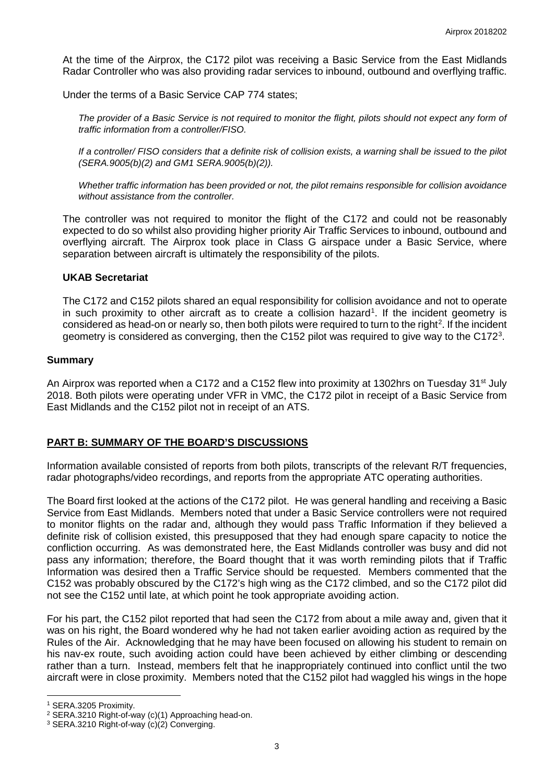At the time of the Airprox, the C172 pilot was receiving a Basic Service from the East Midlands Radar Controller who was also providing radar services to inbound, outbound and overflying traffic.

Under the terms of a Basic Service CAP 774 states;

*The provider of a Basic Service is not required to monitor the flight, pilots should not expect any form of traffic information from a controller/FISO.* 

*If a controller/ FISO considers that a definite risk of collision exists, a warning shall be issued to the pilot (SERA.9005(b)(2) and GM1 SERA.9005(b)(2)).*

*Whether traffic information has been provided or not, the pilot remains responsible for collision avoidance without assistance from the controller.* 

The controller was not required to monitor the flight of the C172 and could not be reasonably expected to do so whilst also providing higher priority Air Traffic Services to inbound, outbound and overflying aircraft. The Airprox took place in Class G airspace under a Basic Service, where separation between aircraft is ultimately the responsibility of the pilots.

## **UKAB Secretariat**

The C172 and C152 pilots shared an equal responsibility for collision avoidance and not to operate in such proximity to other aircraft as to create a collision hazard<sup>[1](#page-2-0)</sup>. If the incident geometry is considered as head-on or nearly so, then both pilots were required to turn to the right<sup>[2](#page-2-1)</sup>. If the incident geometry is considered as converging, then the C152 pilot was required to give way to the C172<sup>[3](#page-2-2)</sup>.

#### **Summary**

An Airprox was reported when a C172 and a C152 flew into proximity at 1302hrs on Tuesday 31<sup>st</sup> July 2018. Both pilots were operating under VFR in VMC, the C172 pilot in receipt of a Basic Service from East Midlands and the C152 pilot not in receipt of an ATS.

## **PART B: SUMMARY OF THE BOARD'S DISCUSSIONS**

Information available consisted of reports from both pilots, transcripts of the relevant R/T frequencies, radar photographs/video recordings, and reports from the appropriate ATC operating authorities.

The Board first looked at the actions of the C172 pilot. He was general handling and receiving a Basic Service from East Midlands. Members noted that under a Basic Service controllers were not required to monitor flights on the radar and, although they would pass Traffic Information if they believed a definite risk of collision existed, this presupposed that they had enough spare capacity to notice the confliction occurring. As was demonstrated here, the East Midlands controller was busy and did not pass any information; therefore, the Board thought that it was worth reminding pilots that if Traffic Information was desired then a Traffic Service should be requested. Members commented that the C152 was probably obscured by the C172's high wing as the C172 climbed, and so the C172 pilot did not see the C152 until late, at which point he took appropriate avoiding action.

For his part, the C152 pilot reported that had seen the C172 from about a mile away and, given that it was on his right, the Board wondered why he had not taken earlier avoiding action as required by the Rules of the Air. Acknowledging that he may have been focused on allowing his student to remain on his nav-ex route, such avoiding action could have been achieved by either climbing or descending rather than a turn. Instead, members felt that he inappropriately continued into conflict until the two aircraft were in close proximity. Members noted that the C152 pilot had waggled his wings in the hope

 $\overline{\phantom{a}}$ 

<span id="page-2-0"></span><sup>1</sup> SERA.3205 Proximity.

<span id="page-2-1"></span><sup>2</sup> SERA.3210 Right-of-way (c)(1) Approaching head-on.

<span id="page-2-2"></span><sup>3</sup> SERA.3210 Right-of-way (c)(2) Converging.